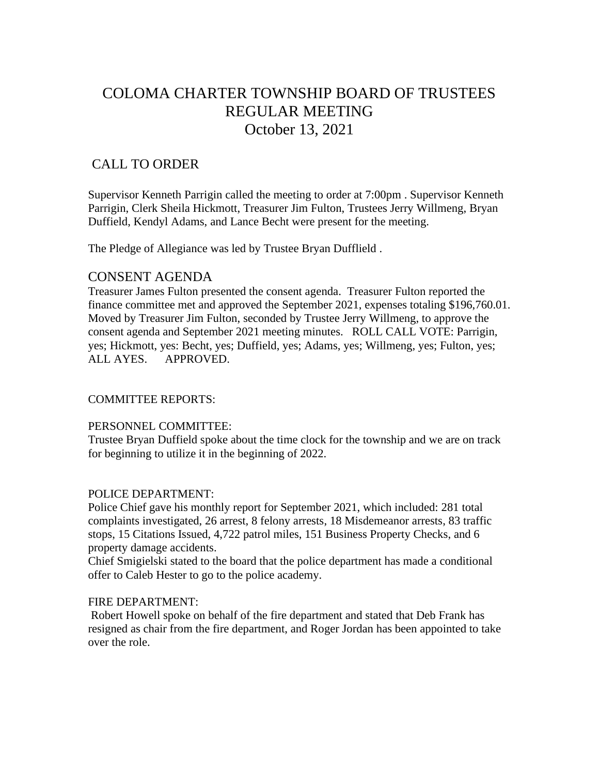# COLOMA CHARTER TOWNSHIP BOARD OF TRUSTEES REGULAR MEETING October 13, 2021

# CALL TO ORDER

Supervisor Kenneth Parrigin called the meeting to order at 7:00pm . Supervisor Kenneth Parrigin, Clerk Sheila Hickmott, Treasurer Jim Fulton, Trustees Jerry Willmeng, Bryan Duffield, Kendyl Adams, and Lance Becht were present for the meeting.

The Pledge of Allegiance was led by Trustee Bryan Dufflield .

## CONSENT AGENDA

Treasurer James Fulton presented the consent agenda. Treasurer Fulton reported the finance committee met and approved the September 2021, expenses totaling \$196,760.01. Moved by Treasurer Jim Fulton, seconded by Trustee Jerry Willmeng, to approve the consent agenda and September 2021 meeting minutes. ROLL CALL VOTE: Parrigin, yes; Hickmott, yes: Becht, yes; Duffield, yes; Adams, yes; Willmeng, yes; Fulton, yes; ALL AYES. APPROVED.

### COMMITTEE REPORTS:

### PERSONNEL COMMITTEE:

Trustee Bryan Duffield spoke about the time clock for the township and we are on track for beginning to utilize it in the beginning of 2022.

### POLICE DEPARTMENT:

Police Chief gave his monthly report for September 2021, which included: 281 total complaints investigated, 26 arrest, 8 felony arrests, 18 Misdemeanor arrests, 83 traffic stops, 15 Citations Issued, 4,722 patrol miles, 151 Business Property Checks, and 6 property damage accidents.

Chief Smigielski stated to the board that the police department has made a conditional offer to Caleb Hester to go to the police academy.

#### FIRE DEPARTMENT:

Robert Howell spoke on behalf of the fire department and stated that Deb Frank has resigned as chair from the fire department, and Roger Jordan has been appointed to take over the role.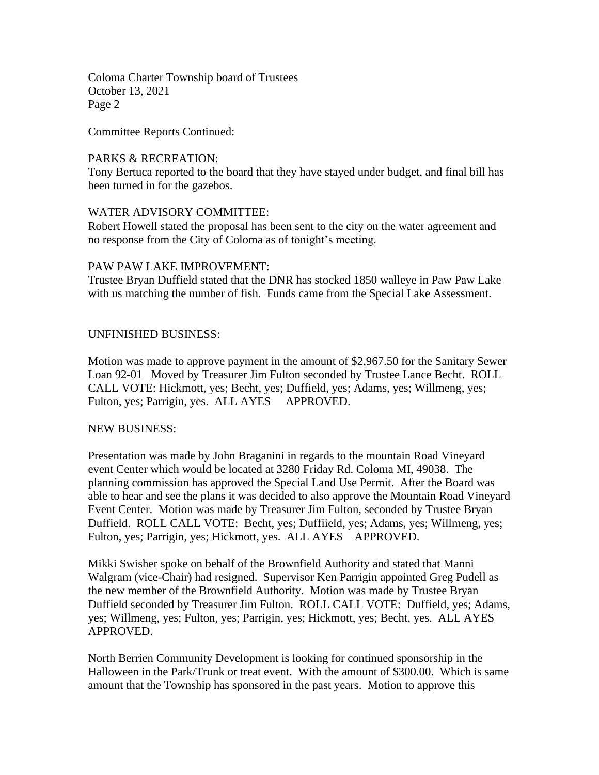Coloma Charter Township board of Trustees October 13, 2021 Page 2

Committee Reports Continued:

#### PARKS & RECREATION:

Tony Bertuca reported to the board that they have stayed under budget, and final bill has been turned in for the gazebos.

#### WATER ADVISORY COMMITTEE:

Robert Howell stated the proposal has been sent to the city on the water agreement and no response from the City of Coloma as of tonight's meeting.

#### PAW PAW LAKE IMPROVEMENT:

Trustee Bryan Duffield stated that the DNR has stocked 1850 walleye in Paw Paw Lake with us matching the number of fish. Funds came from the Special Lake Assessment.

#### UNFINISHED BUSINESS:

Motion was made to approve payment in the amount of \$2,967.50 for the Sanitary Sewer Loan 92-01 Moved by Treasurer Jim Fulton seconded by Trustee Lance Becht. ROLL CALL VOTE: Hickmott, yes; Becht, yes; Duffield, yes; Adams, yes; Willmeng, yes; Fulton, yes; Parrigin, yes. ALL AYES APPROVED.

#### NEW BUSINESS:

Presentation was made by John Braganini in regards to the mountain Road Vineyard event Center which would be located at 3280 Friday Rd. Coloma MI, 49038. The planning commission has approved the Special Land Use Permit. After the Board was able to hear and see the plans it was decided to also approve the Mountain Road Vineyard Event Center. Motion was made by Treasurer Jim Fulton, seconded by Trustee Bryan Duffield. ROLL CALL VOTE: Becht, yes; Duffiield, yes; Adams, yes; Willmeng, yes; Fulton, yes; Parrigin, yes; Hickmott, yes. ALL AYES APPROVED.

Mikki Swisher spoke on behalf of the Brownfield Authority and stated that Manni Walgram (vice-Chair) had resigned. Supervisor Ken Parrigin appointed Greg Pudell as the new member of the Brownfield Authority. Motion was made by Trustee Bryan Duffield seconded by Treasurer Jim Fulton. ROLL CALL VOTE: Duffield, yes; Adams, yes; Willmeng, yes; Fulton, yes; Parrigin, yes; Hickmott, yes; Becht, yes. ALL AYES APPROVED.

North Berrien Community Development is looking for continued sponsorship in the Halloween in the Park/Trunk or treat event. With the amount of \$300.00. Which is same amount that the Township has sponsored in the past years. Motion to approve this